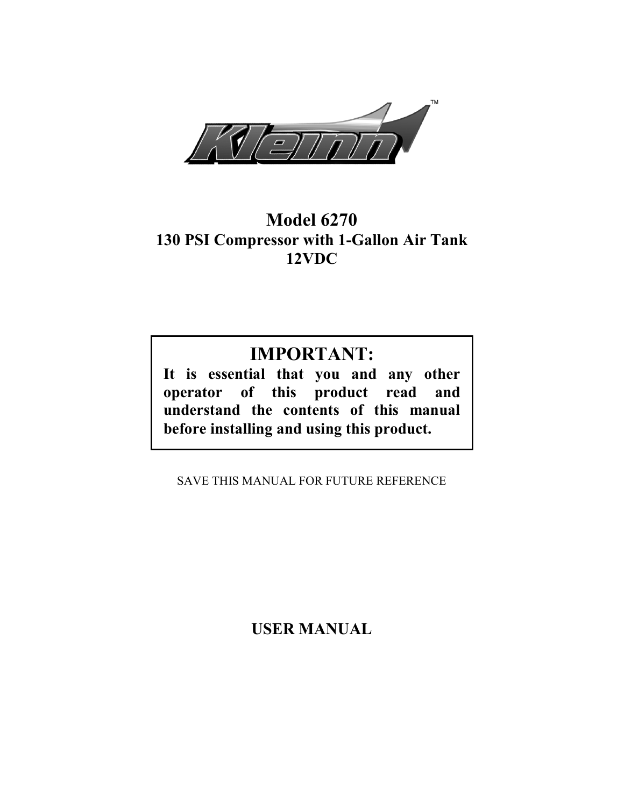

# Model 6270 130 PSI Compressor with 1-Gallon Air Tank 12VDC

# IMPORTANT:

It is essential that you and any other operator of this product read and understand the contents of this manual before installing and using this product.

SAVE THIS MANUAL FOR FUTURE REFERENCE

USER MANUAL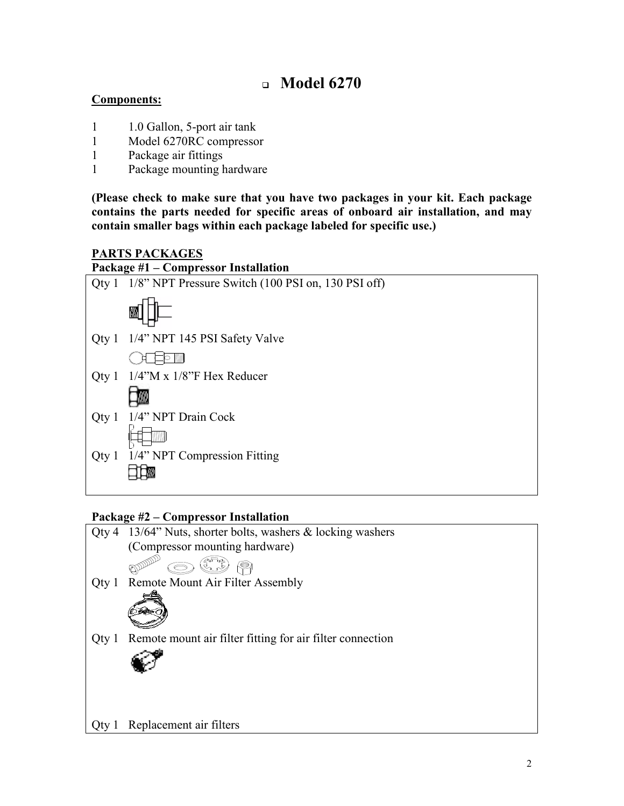# $\Box$  Model 6270

## Components:

- 1 1.0 Gallon, 5-port air tank
- 1 Model 6270RC compressor
- 1 Package air fittings
- 1 Package mounting hardware

(Please check to make sure that you have two packages in your kit. Each package contains the parts needed for specific areas of onboard air installation, and may contain smaller bags within each package labeled for specific use.)

### PARTS PACKAGES

#### Package #1 – Compressor Installation



### Package #2 – Compressor Installation

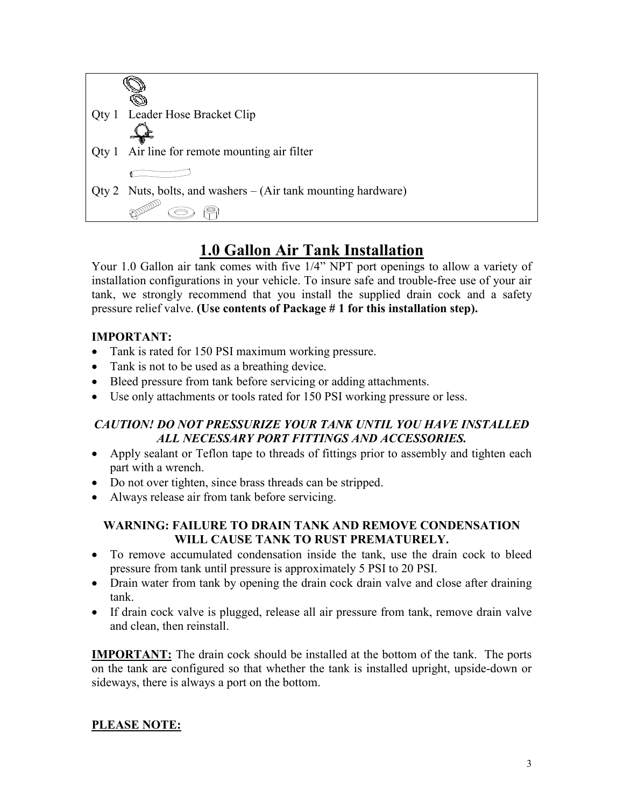

# 1.0 Gallon Air Tank Installation

Your 1.0 Gallon air tank comes with five 1/4" NPT port openings to allow a variety of installation configurations in your vehicle. To insure safe and trouble-free use of your air tank, we strongly recommend that you install the supplied drain cock and a safety pressure relief valve. (Use contents of Package # 1 for this installation step).

## IMPORTANT:

- Tank is rated for 150 PSI maximum working pressure.
- Tank is not to be used as a breathing device.
- Bleed pressure from tank before servicing or adding attachments.
- Use only attachments or tools rated for 150 PSI working pressure or less.

## CAUTION! DO NOT PRESSURIZE YOUR TANK UNTIL YOU HAVE INSTALLED ALL NECESSARY PORT FITTINGS AND ACCESSORIES.

- Apply sealant or Teflon tape to threads of fittings prior to assembly and tighten each part with a wrench.
- Do not over tighten, since brass threads can be stripped.
- Always release air from tank before servicing.

### WARNING: FAILURE TO DRAIN TANK AND REMOVE CONDENSATION WILL CAUSE TANK TO RUST PREMATURELY.

- To remove accumulated condensation inside the tank, use the drain cock to bleed pressure from tank until pressure is approximately 5 PSI to 20 PSI.
- Drain water from tank by opening the drain cock drain valve and close after draining tank.
- If drain cock valve is plugged, release all air pressure from tank, remove drain valve and clean, then reinstall.

IMPORTANT: The drain cock should be installed at the bottom of the tank. The ports on the tank are configured so that whether the tank is installed upright, upside-down or sideways, there is always a port on the bottom.

## PLEASE NOTE: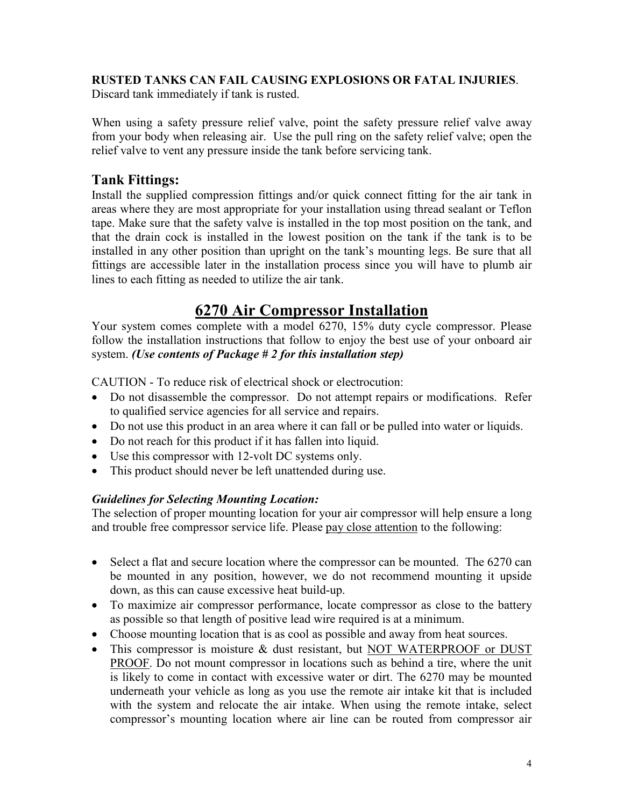### RUSTED TANKS CAN FAIL CAUSING EXPLOSIONS OR FATAL INJURIES.

Discard tank immediately if tank is rusted.

When using a safety pressure relief valve, point the safety pressure relief valve away from your body when releasing air. Use the pull ring on the safety relief valve; open the relief valve to vent any pressure inside the tank before servicing tank.

## Tank Fittings:

Install the supplied compression fittings and/or quick connect fitting for the air tank in areas where they are most appropriate for your installation using thread sealant or Teflon tape. Make sure that the safety valve is installed in the top most position on the tank, and that the drain cock is installed in the lowest position on the tank if the tank is to be installed in any other position than upright on the tank's mounting legs. Be sure that all fittings are accessible later in the installation process since you will have to plumb air lines to each fitting as needed to utilize the air tank.

## 6270 Air Compressor Installation

Your system comes complete with a model 6270, 15% duty cycle compressor. Please follow the installation instructions that follow to enjoy the best use of your onboard air system. (Use contents of Package  $# 2$  for this installation step)

CAUTION - To reduce risk of electrical shock or electrocution:

- Do not disassemble the compressor. Do not attempt repairs or modifications. Refer to qualified service agencies for all service and repairs.
- Do not use this product in an area where it can fall or be pulled into water or liquids.
- Do not reach for this product if it has fallen into liquid.
- Use this compressor with 12-volt DC systems only.
- This product should never be left unattended during use.

### Guidelines for Selecting Mounting Location:

The selection of proper mounting location for your air compressor will help ensure a long and trouble free compressor service life. Please pay close attention to the following:

- Select a flat and secure location where the compressor can be mounted. The 6270 can be mounted in any position, however, we do not recommend mounting it upside down, as this can cause excessive heat build-up.
- To maximize air compressor performance, locate compressor as close to the battery as possible so that length of positive lead wire required is at a minimum.
- Choose mounting location that is as cool as possible and away from heat sources.
- This compressor is moisture & dust resistant, but NOT WATERPROOF or DUST PROOF. Do not mount compressor in locations such as behind a tire, where the unit is likely to come in contact with excessive water or dirt. The 6270 may be mounted underneath your vehicle as long as you use the remote air intake kit that is included with the system and relocate the air intake. When using the remote intake, select compressor's mounting location where air line can be routed from compressor air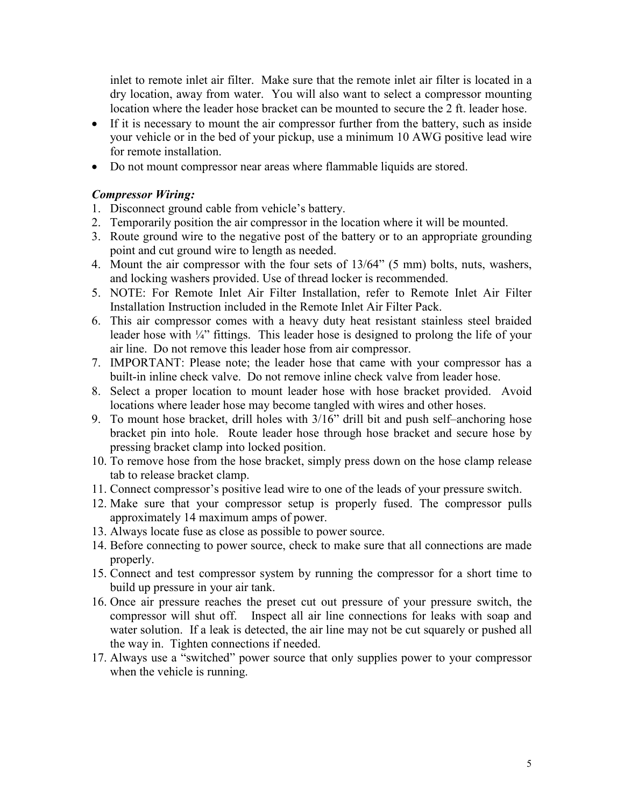inlet to remote inlet air filter. Make sure that the remote inlet air filter is located in a dry location, away from water. You will also want to select a compressor mounting location where the leader hose bracket can be mounted to secure the 2 ft. leader hose.

- If it is necessary to mount the air compressor further from the battery, such as inside your vehicle or in the bed of your pickup, use a minimum 10 AWG positive lead wire for remote installation.
- Do not mount compressor near areas where flammable liquids are stored.

#### Compressor Wiring:

- 1. Disconnect ground cable from vehicle's battery.
- 2. Temporarily position the air compressor in the location where it will be mounted.
- 3. Route ground wire to the negative post of the battery or to an appropriate grounding point and cut ground wire to length as needed.
- 4. Mount the air compressor with the four sets of 13/64" (5 mm) bolts, nuts, washers, and locking washers provided. Use of thread locker is recommended.
- 5. NOTE: For Remote Inlet Air Filter Installation, refer to Remote Inlet Air Filter Installation Instruction included in the Remote Inlet Air Filter Pack.
- 6. This air compressor comes with a heavy duty heat resistant stainless steel braided leader hose with ¼" fittings. This leader hose is designed to prolong the life of your air line. Do not remove this leader hose from air compressor.
- 7. IMPORTANT: Please note; the leader hose that came with your compressor has a built-in inline check valve. Do not remove inline check valve from leader hose.
- 8. Select a proper location to mount leader hose with hose bracket provided. Avoid locations where leader hose may become tangled with wires and other hoses.
- 9. To mount hose bracket, drill holes with 3/16" drill bit and push self–anchoring hose bracket pin into hole. Route leader hose through hose bracket and secure hose by pressing bracket clamp into locked position.
- 10. To remove hose from the hose bracket, simply press down on the hose clamp release tab to release bracket clamp.
- 11. Connect compressor's positive lead wire to one of the leads of your pressure switch.
- 12. Make sure that your compressor setup is properly fused. The compressor pulls approximately 14 maximum amps of power.
- 13. Always locate fuse as close as possible to power source.
- 14. Before connecting to power source, check to make sure that all connections are made properly.
- 15. Connect and test compressor system by running the compressor for a short time to build up pressure in your air tank.
- 16. Once air pressure reaches the preset cut out pressure of your pressure switch, the compressor will shut off. Inspect all air line connections for leaks with soap and water solution. If a leak is detected, the air line may not be cut squarely or pushed all the way in. Tighten connections if needed.
- 17. Always use a "switched" power source that only supplies power to your compressor when the vehicle is running.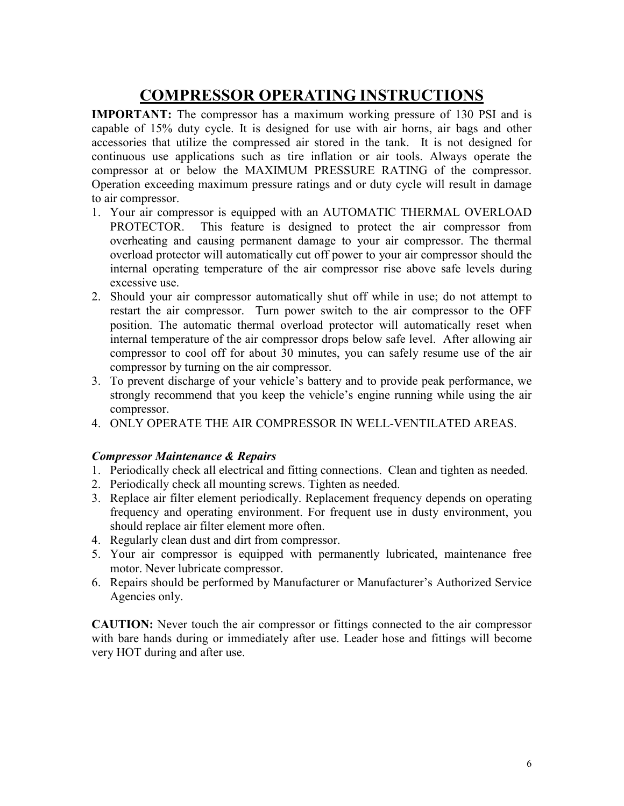# COMPRESSOR OPERATING INSTRUCTIONS

IMPORTANT: The compressor has a maximum working pressure of 130 PSI and is capable of 15% duty cycle. It is designed for use with air horns, air bags and other accessories that utilize the compressed air stored in the tank. It is not designed for continuous use applications such as tire inflation or air tools. Always operate the compressor at or below the MAXIMUM PRESSURE RATING of the compressor. Operation exceeding maximum pressure ratings and or duty cycle will result in damage to air compressor.

- 1. Your air compressor is equipped with an AUTOMATIC THERMAL OVERLOAD PROTECTOR. This feature is designed to protect the air compressor from overheating and causing permanent damage to your air compressor. The thermal overload protector will automatically cut off power to your air compressor should the internal operating temperature of the air compressor rise above safe levels during excessive use.
- 2. Should your air compressor automatically shut off while in use; do not attempt to restart the air compressor. Turn power switch to the air compressor to the OFF position. The automatic thermal overload protector will automatically reset when internal temperature of the air compressor drops below safe level. After allowing air compressor to cool off for about 30 minutes, you can safely resume use of the air compressor by turning on the air compressor.
- 3. To prevent discharge of your vehicle's battery and to provide peak performance, we strongly recommend that you keep the vehicle's engine running while using the air compressor.
- 4. ONLY OPERATE THE AIR COMPRESSOR IN WELL-VENTILATED AREAS.

### Compressor Maintenance & Repairs

- 1. Periodically check all electrical and fitting connections. Clean and tighten as needed.
- 2. Periodically check all mounting screws. Tighten as needed.
- 3. Replace air filter element periodically. Replacement frequency depends on operating frequency and operating environment. For frequent use in dusty environment, you should replace air filter element more often.
- 4. Regularly clean dust and dirt from compressor.
- 5. Your air compressor is equipped with permanently lubricated, maintenance free motor. Never lubricate compressor.
- 6. Repairs should be performed by Manufacturer or Manufacturer's Authorized Service Agencies only.

CAUTION: Never touch the air compressor or fittings connected to the air compressor with bare hands during or immediately after use. Leader hose and fittings will become very HOT during and after use.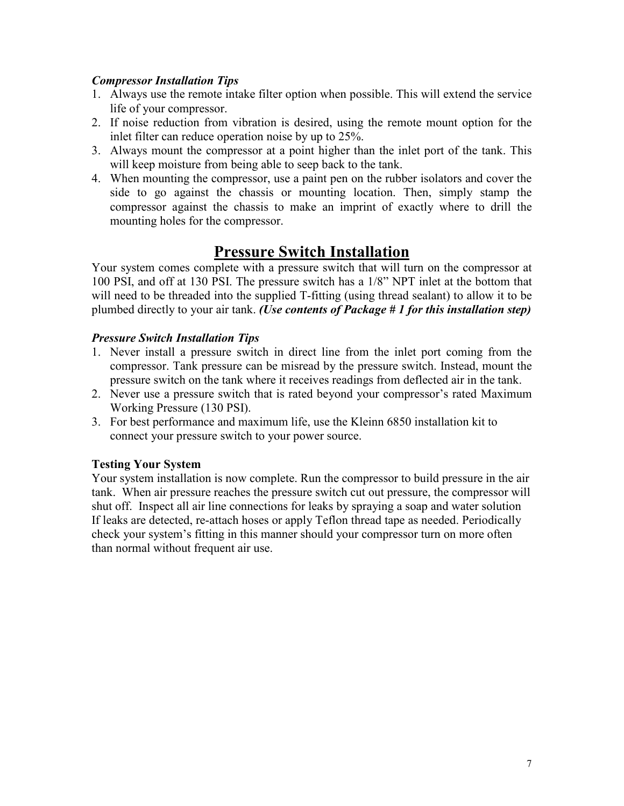### Compressor Installation Tips

- 1. Always use the remote intake filter option when possible. This will extend the service life of your compressor.
- 2. If noise reduction from vibration is desired, using the remote mount option for the inlet filter can reduce operation noise by up to 25%.
- 3. Always mount the compressor at a point higher than the inlet port of the tank. This will keep moisture from being able to seep back to the tank.
- 4. When mounting the compressor, use a paint pen on the rubber isolators and cover the side to go against the chassis or mounting location. Then, simply stamp the compressor against the chassis to make an imprint of exactly where to drill the mounting holes for the compressor.

## Pressure Switch Installation

Your system comes complete with a pressure switch that will turn on the compressor at 100 PSI, and off at 130 PSI. The pressure switch has a 1/8" NPT inlet at the bottom that will need to be threaded into the supplied T-fitting (using thread sealant) to allow it to be plumbed directly to your air tank. (Use contents of Package  $# 1$  for this installation step)

## Pressure Switch Installation Tips

- 1. Never install a pressure switch in direct line from the inlet port coming from the compressor. Tank pressure can be misread by the pressure switch. Instead, mount the pressure switch on the tank where it receives readings from deflected air in the tank.
- 2. Never use a pressure switch that is rated beyond your compressor's rated Maximum Working Pressure (130 PSI).
- 3. For best performance and maximum life, use the Kleinn 6850 installation kit to connect your pressure switch to your power source.

## Testing Your System

Your system installation is now complete. Run the compressor to build pressure in the air tank. When air pressure reaches the pressure switch cut out pressure, the compressor will shut off. Inspect all air line connections for leaks by spraying a soap and water solution If leaks are detected, re-attach hoses or apply Teflon thread tape as needed. Periodically check your system's fitting in this manner should your compressor turn on more often than normal without frequent air use.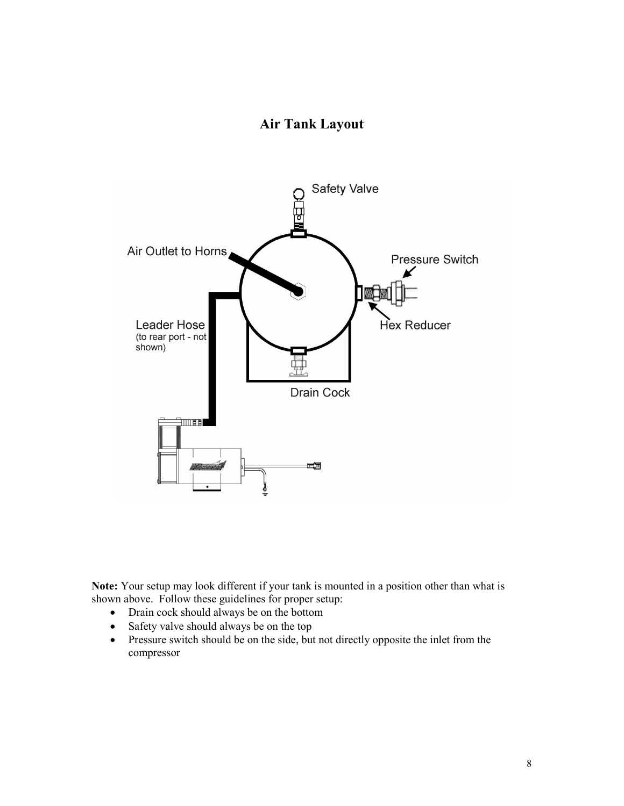## Air Tank Layout



Note: Your setup may look different if your tank is mounted in a position other than what is shown above. Follow these guidelines for proper setup:

- Drain cock should always be on the bottom
- Safety valve should always be on the top
- Pressure switch should be on the side, but not directly opposite the inlet from the compressor